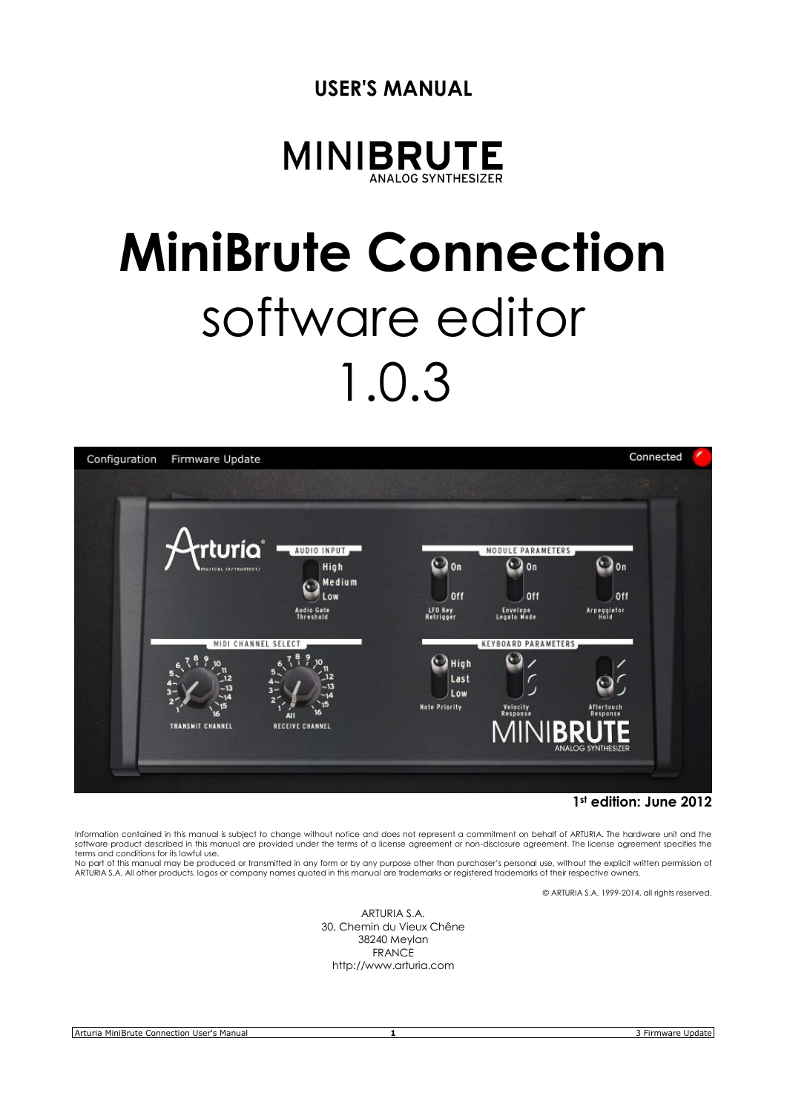



# **MiniBrute Connection** software editor 1.0.3



**1st edition: June 2012**

Information contained in this manual is subject to change without notice and does not represent a commitment on behalf of ARTURIA. The hardware unit and the software product described in this manual are provided under the terms of a license agreement or non-disclosure agreement. The license agreement specifies the terms and conditions for its lawful use.

No part of this manual may be produced or transmitted in any form or by any purpose other than purchaser's personal use, without the explicit written permission of ARTURIA S.A. All other products, logos or company names quoted in this manual are trademarks or registered trademarks of their respective owners.

© ARTURIA S.A. 1999-2014, all rights reserved.

ARTURIA S.A. 30, Chemin du Vieux Chêne 38240 Meylan FRANCE http://www.arturia.com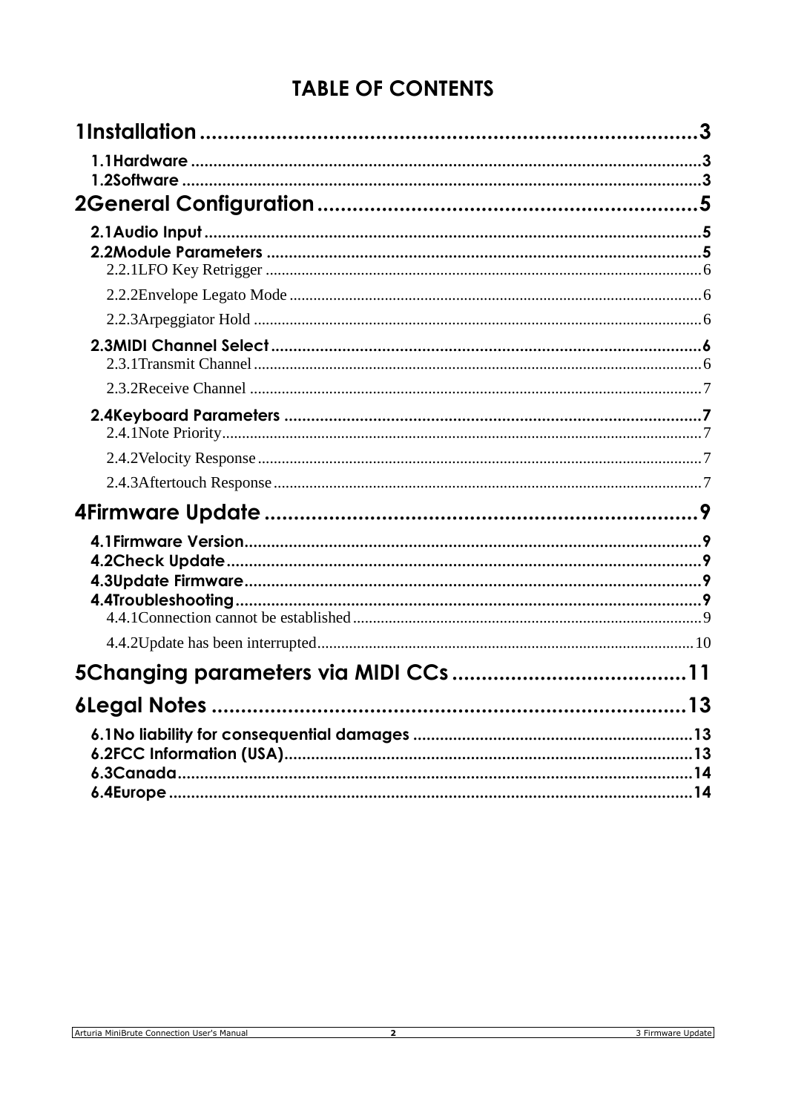# **TABLE OF CONTENTS**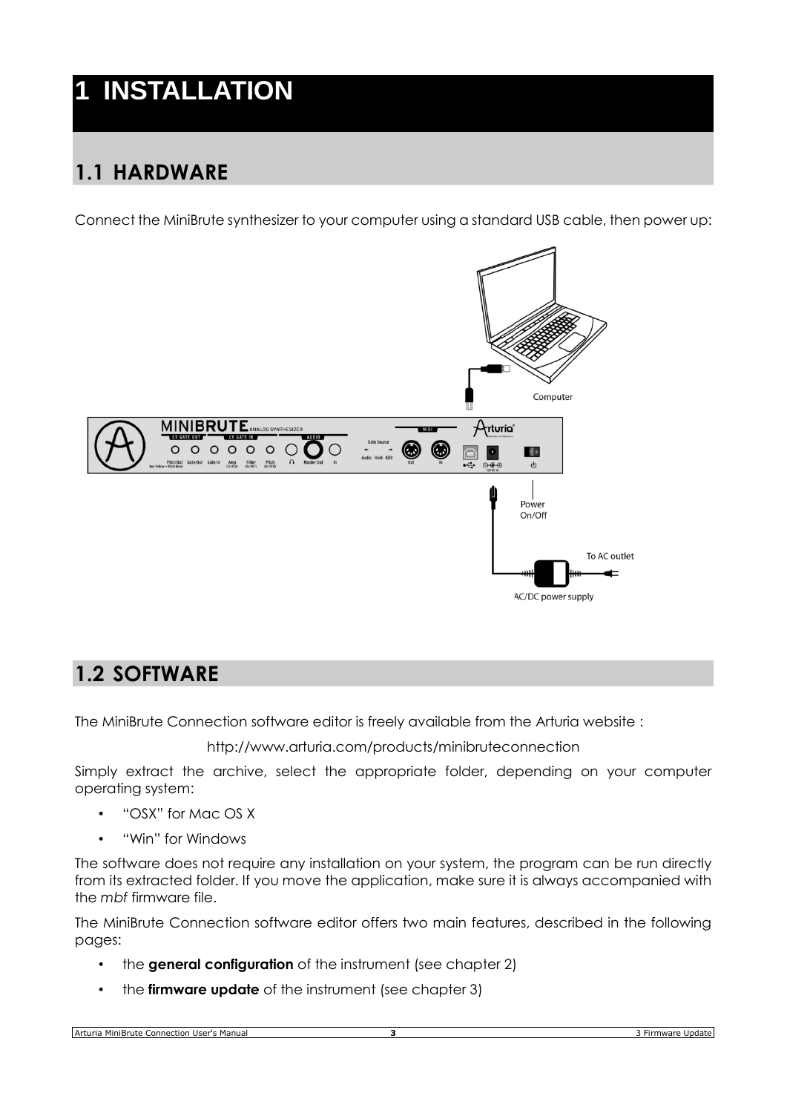# **1 INSTALLATION**

# **1.1 HARDWARE**

Connect the MiniBrute synthesizer to your computer using a standard USB cable, then power up:



## **1.2 SOFTWARE**

The MiniBrute Connection software editor is freely available from the Arturia website :

<http://www.arturia.com/products/minibruteconnection>

Simply extract the archive, select the appropriate folder, depending on your computer operating system:

- "OSX" for Mac OS X
- "Win" for Windows

The software does not require any installation on your system, the program can be run directly from its extracted folder. If you move the application, make sure it is always accompanied with the *mbf* firmware file.

The MiniBrute Connection software editor offers two main features, described in the following pages:

- the **general configuration** of the instrument (see chapter 2)
- the **firmware update** of the instrument (see chapter 3)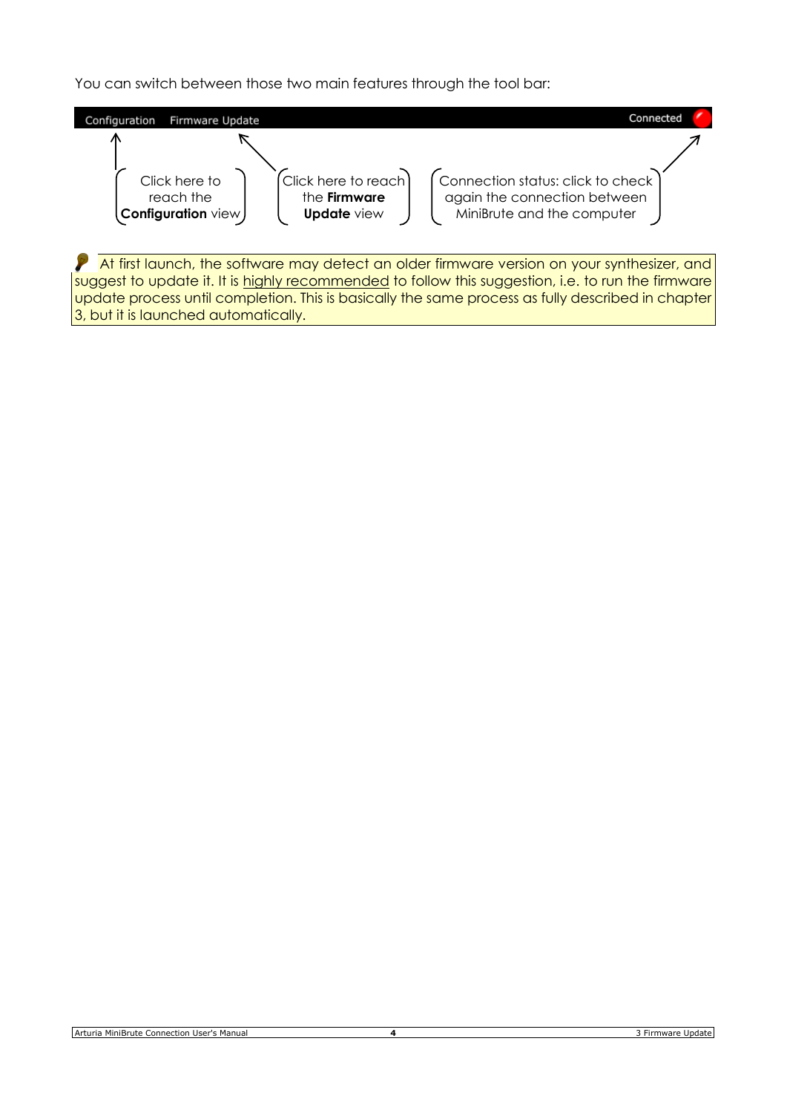You can switch between those two main features through the tool bar:



3, but it is launched automatically.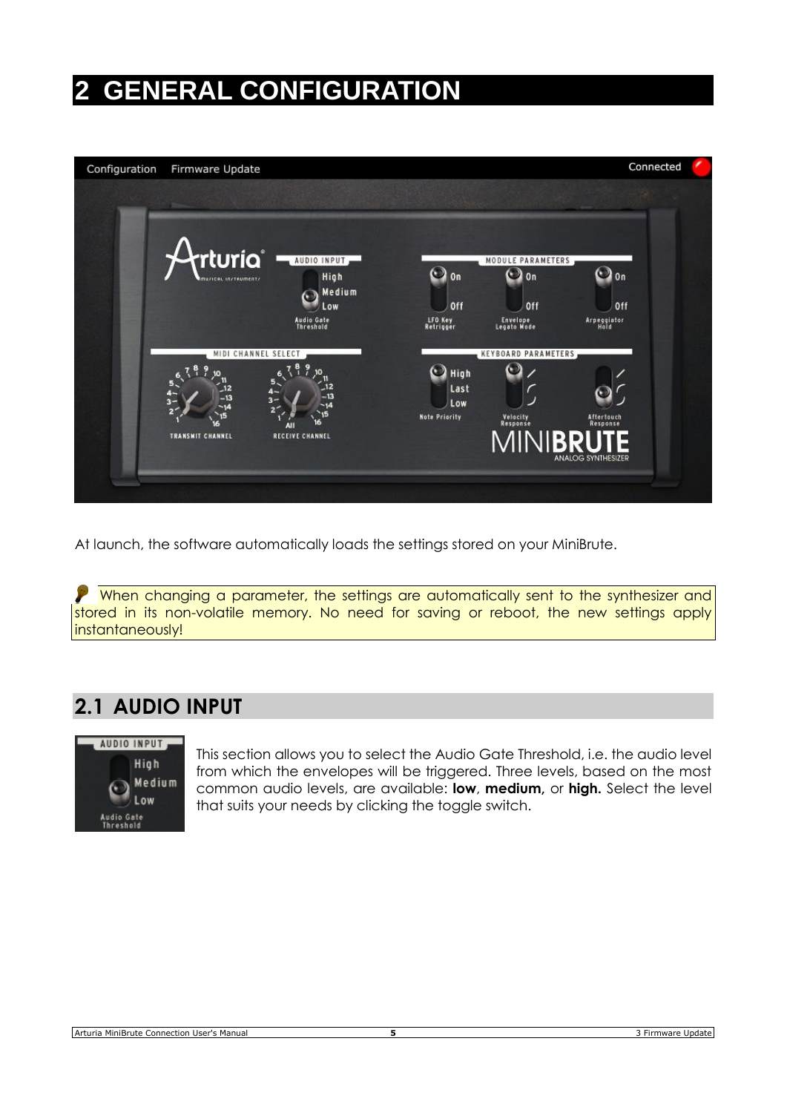# **2 GENERAL CONFIGURATION**



At launch, the software automatically loads the settings stored on your MiniBrute.

P When changing a parameter, the settings are automatically sent to the synthesizer and stored in its non-volatile memory. No need for saving or reboot, the new settings apply instantaneously!

# **2.1 AUDIO INPUT**



This section allows you to select the Audio Gate Threshold, i.e. the audio level from which the envelopes will be triggered. Three levels, based on the most common audio levels, are available: **low**, **medium,** or **high.** Select the level that suits your needs by clicking the toggle switch.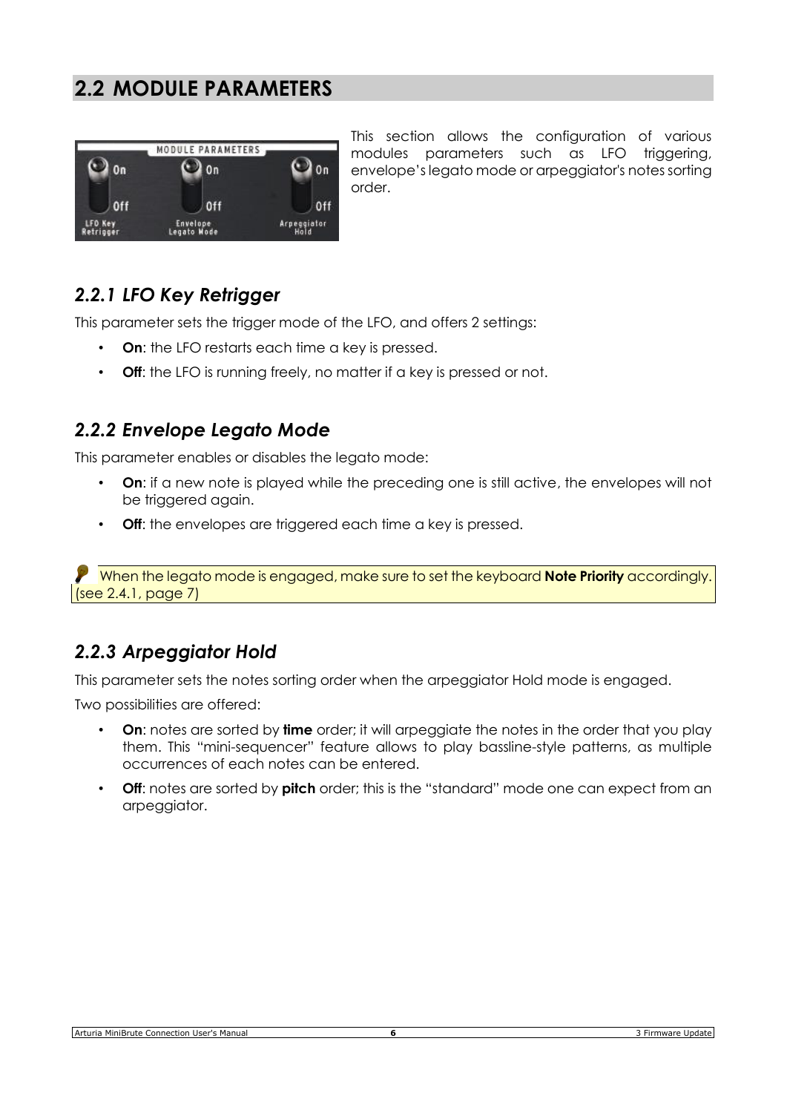## **2.2 MODULE PARAMETERS**

|                      | MODULE PARAMETERS       |             |
|----------------------|-------------------------|-------------|
| 0n                   | 0n                      | 0n          |
| Off                  | 0ff                     | Off         |
| LFO Key<br>Retrigger | Envelope<br>Legato Mode | Arpeggiator |

This section allows the configuration of various modules parameters such as LFO triggering, envelope's legato mode or arpeggiator's notes sorting order.

#### *2.2.1 LFO Key Retrigger*

This parameter sets the trigger mode of the LFO, and offers 2 settings:

- **On:** the LFO restarts each time a key is pressed.
- **Off**: the LFO is running freely, no matter if a key is pressed or not.

#### *2.2.2 Envelope Legato Mode*

This parameter enables or disables the legato mode:

- **On**: if a new note is played while the preceding one is still active, the envelopes will not be triggered again.
- **Off**: the envelopes are triggered each time a key is pressed.

When the legato mode is engaged, make sure to set the keyboard **Note Priority** accordingly. (see 2.4.1, page 7)

#### *2.2.3 Arpeggiator Hold*

This parameter sets the notes sorting order when the arpeggiator Hold mode is engaged.

Two possibilities are offered:

- **On**: notes are sorted by **time** order; it will arpeggiate the notes in the order that you play them. This "mini-sequencer" feature allows to play bassline-style patterns, as multiple occurrences of each notes can be entered.
- **Off**: notes are sorted by **pitch** order; this is the "standard" mode one can expect from an arpeggiator.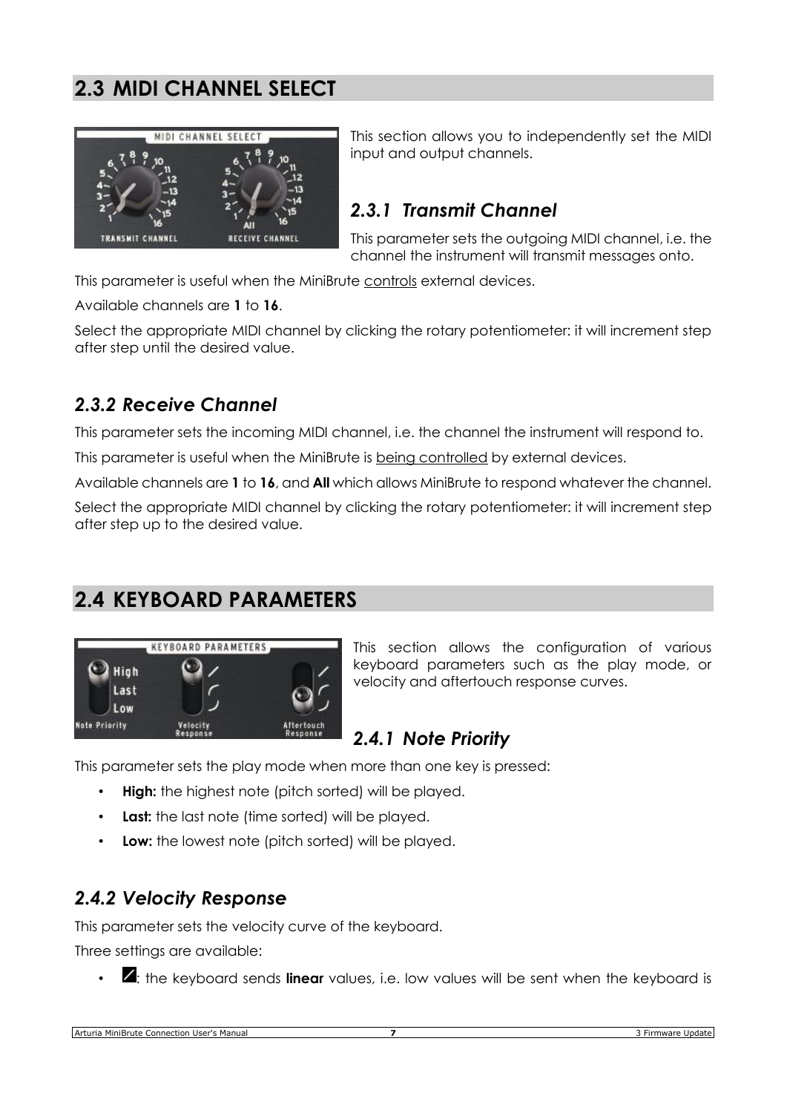# **2.3 MIDI CHANNEL SELECT**



This section allows you to independently set the MIDI input and output channels.

#### *2.3.1 Transmit Channel*

This parameter sets the outgoing MIDI channel, i.e. the channel the instrument will transmit messages onto.

This parameter is useful when the MiniBrute controls external devices.

Available channels are **1** to **16**.

Select the appropriate MIDI channel by clicking the rotary potentiometer: it will increment step after step until the desired value.

#### *2.3.2 Receive Channel*

This parameter sets the incoming MIDI channel, i.e. the channel the instrument will respond to.

This parameter is useful when the MiniBrute is being controlled by external devices.

Available channels are **1** to **16**, and **All** which allows MiniBrute to respond whatever the channel.

Select the appropriate MIDI channel by clicking the rotary potentiometer: it will increment step after step up to the desired value.

# **2.4 KEYBOARD PARAMETERS**



This section allows the configuration of various keyboard parameters such as the play mode, or velocity and aftertouch response curves.

#### *2.4.1 Note Priority*

This parameter sets the play mode when more than one key is pressed:

- **High:** the highest note (pitch sorted) will be played.
- Last: the last note (time sorted) will be played.
- **Low:** the lowest note (pitch sorted) will be played.

#### *2.4.2 Velocity Response*

This parameter sets the velocity curve of the keyboard.

Three settings are available:

• **4**: the keyboard sends **linear** values, i.e. low values will be sent when the keyboard is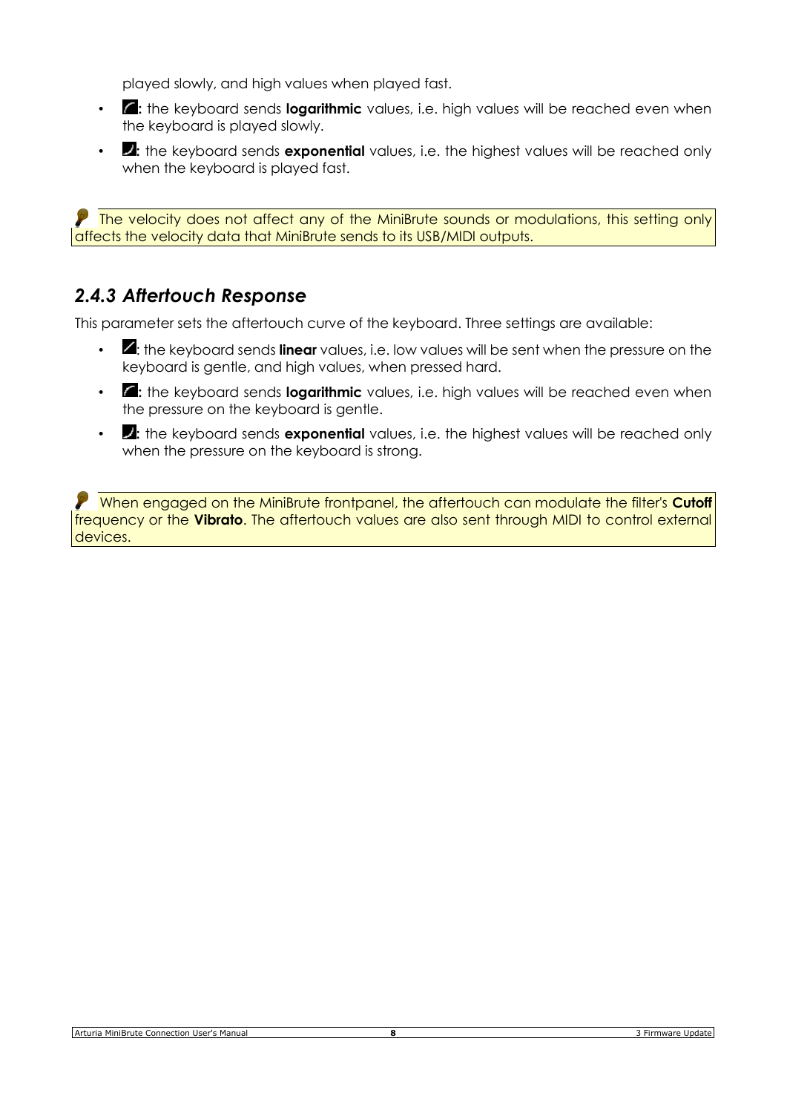played slowly, and high values when played fast.

- **7**: the keyboard sends **logarithmic** values, i.e. high values will be reached even when the keyboard is played slowly.
- **2:** the keyboard sends **exponential** values, i.e. the highest values will be reached only when the keyboard is played fast.

The velocity does not affect any of the MiniBrute sounds or modulations, this setting only affects the velocity data that MiniBrute sends to its USB/MIDI outputs.

#### *2.4.3 Aftertouch Response*

This parameter sets the aftertouch curve of the keyboard. Three settings are available:

- $\blacksquare$ : the keyboard sends **linear** values, i.e. low values will be sent when the pressure on the keyboard is gentle, and high values, when pressed hard.
- **7**: the keyboard sends **logarithmic** values, i.e. high values will be reached even when the pressure on the keyboard is gentle.
- **2:** the keyboard sends **exponential** values, i.e. the highest values will be reached only when the pressure on the keyboard is strong.

**P** When engaged on the MiniBrute frontpanel, the aftertouch can modulate the filter's Cutoff frequency or the **Vibrato**. The aftertouch values are also sent through MIDI to control external devices.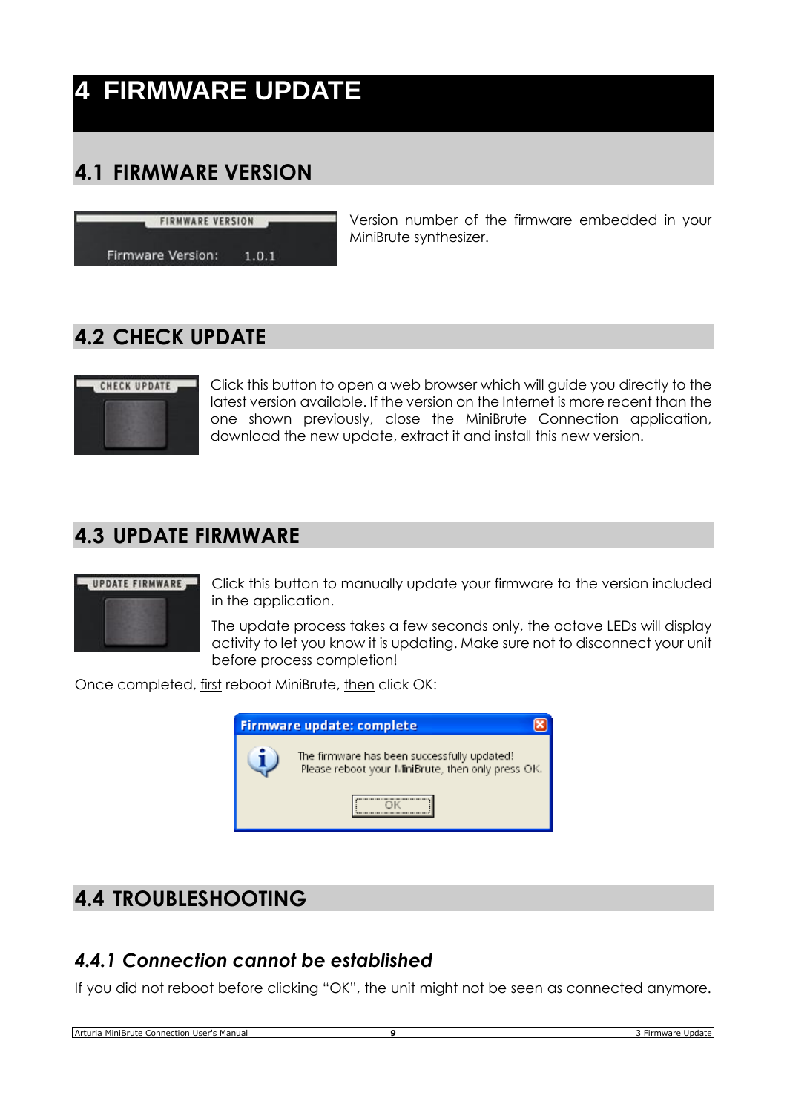# **4 FIRMWARE UPDATE**

# **4.1 FIRMWARE VERSION**

**FIRMWARE VERSION** 

Firmware Version:  $1.0.1$  Version number of the firmware embedded in your MiniBrute synthesizer.

# **4.2 CHECK UPDATE**



Click this button to open a web browser which will guide you directly to the latest version available. If the version on the Internet is more recent than the one shown previously, close the MiniBrute Connection application, download the new update, extract it and install this new version.

## **4.3 UPDATE FIRMWARE**



Click this button to manually update your firmware to the version included in the application.

The update process takes a few seconds only, the octave LEDs will display activity to let you know it is updating. Make sure not to disconnect your unit before process completion!

Once completed, first reboot MiniBrute, then click OK:



# **4.4 TROUBLESHOOTING**

#### *4.4.1 Connection cannot be established*

If you did not reboot before clicking "OK", the unit might not be seen as connected anymore.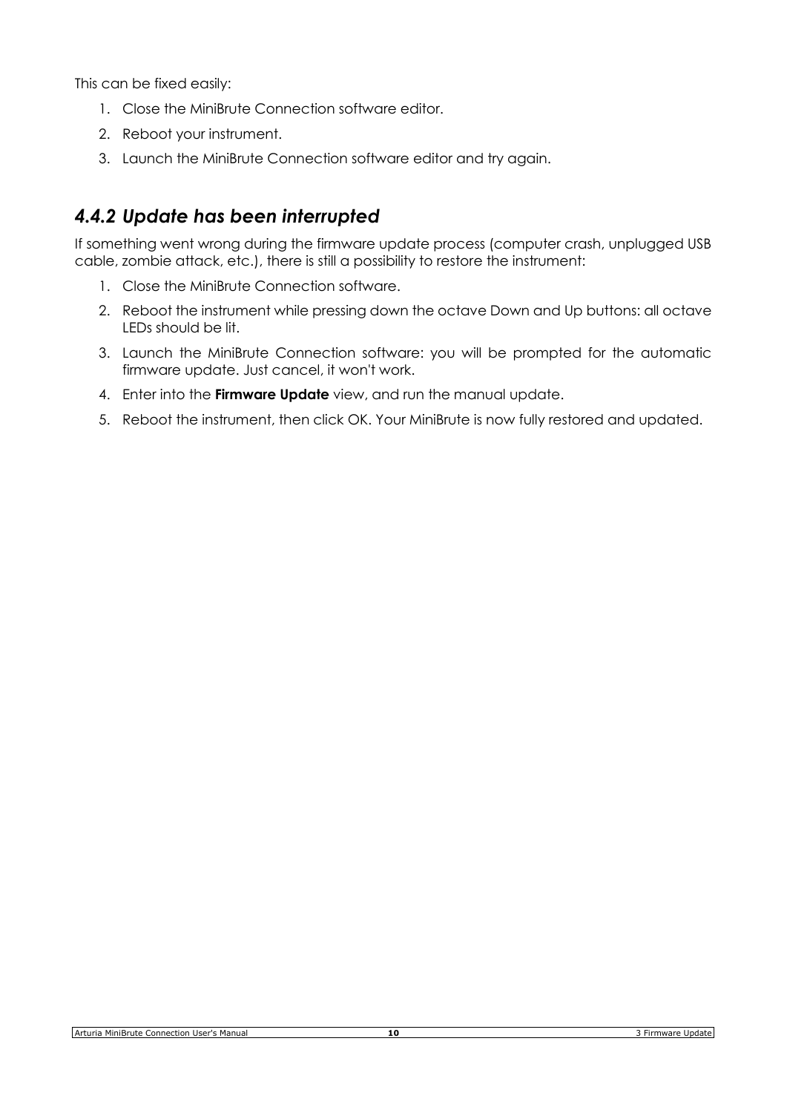This can be fixed easily:

- 1. Close the MiniBrute Connection software editor.
- 2. Reboot your instrument.
- 3. Launch the MiniBrute Connection software editor and try again.

#### *4.4.2 Update has been interrupted*

If something went wrong during the firmware update process (computer crash, unplugged USB cable, zombie attack, etc.), there is still a possibility to restore the instrument:

- 1. Close the MiniBrute Connection software.
- 2. Reboot the instrument while pressing down the octave Down and Up buttons: all octave LEDs should be lit.
- 3. Launch the MiniBrute Connection software: you will be prompted for the automatic firmware update. Just cancel, it won't work.
- 4. Enter into the **Firmware Update** view, and run the manual update.
- 5. Reboot the instrument, then click OK. Your MiniBrute is now fully restored and updated.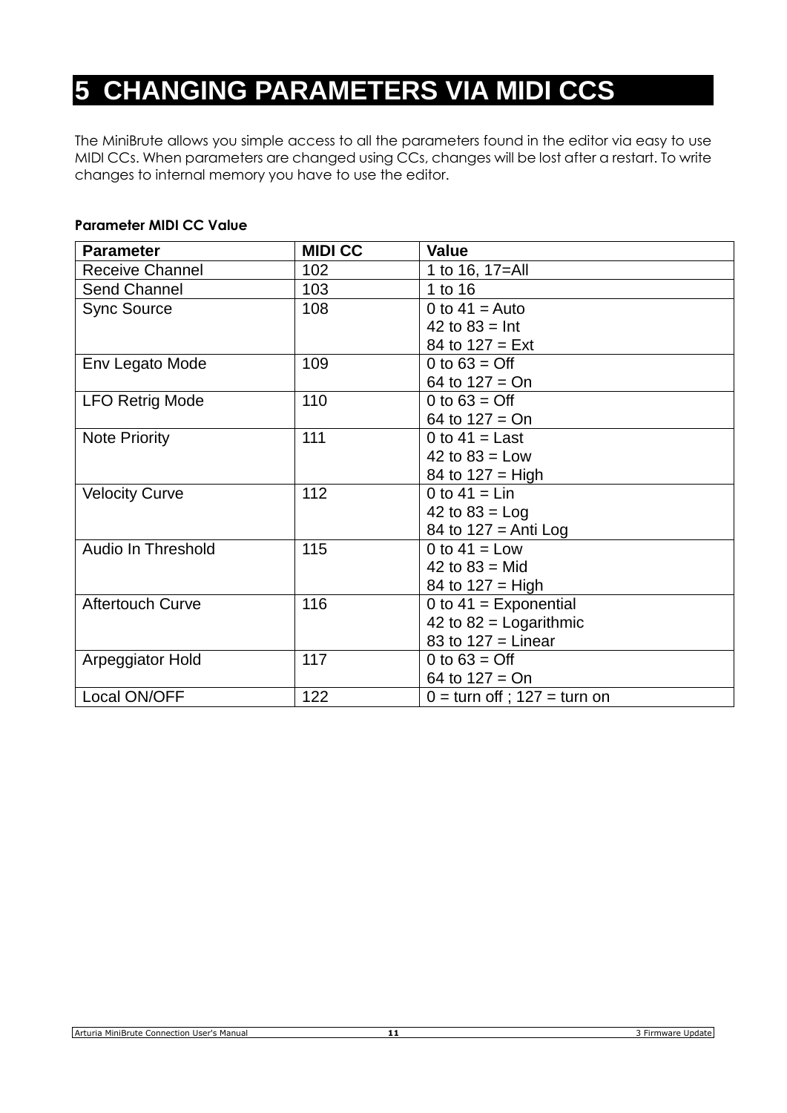# **5 CHANGING PARAMETERS VIA MIDI CCS**

The MiniBrute allows you simple access to all the parameters found in the editor via easy to use MIDI CCs. When parameters are changed using CCs, changes will be lost after a restart. To write changes to internal memory you have to use the editor.

#### **Parameter MIDI CC Value**

| <b>Parameter</b>          | <b>MIDI CC</b> | <b>Value</b>                    |
|---------------------------|----------------|---------------------------------|
| <b>Receive Channel</b>    | 102            | 1 to 16, 17=All                 |
| Send Channel              | 103            | 1 to 16                         |
| <b>Sync Source</b>        | 108            | 0 to $41$ = Auto                |
|                           |                | 42 to $83 = \text{Int}$         |
|                           |                | 84 to $127 = Ext$               |
| Env Legato Mode           | 109            | 0 to $63 = \text{Off}$          |
|                           |                | 64 to $127 = On$                |
| <b>LFO Retrig Mode</b>    | 110            | 0 to $63 = \text{Off}$          |
|                           |                | 64 to $127 = On$                |
| <b>Note Priority</b>      | 111            | 0 to $41$ = Last                |
|                           |                | 42 to $83 =$ Low                |
|                           |                | 84 to $127 = High$              |
| <b>Velocity Curve</b>     | 112            | 0 to $41 = Lin$                 |
|                           |                | 42 to $83 =$ Log                |
|                           |                | 84 to $127$ = Anti Log          |
| <b>Audio In Threshold</b> | 115            | 0 to $41$ = Low                 |
|                           |                | 42 to $83 =$ Mid                |
|                           |                | 84 to $127 =$ High              |
| <b>Aftertouch Curve</b>   | 116            | 0 to $41$ = Exponential         |
|                           |                | 42 to $82$ = Logarithmic        |
|                           |                | 83 to $127$ = Linear            |
| Arpeggiator Hold          | 117            | 0 to $63 = \text{Off}$          |
|                           |                | 64 to $127 = On$                |
| Local ON/OFF              | 122            | $0 =$ turn off; $127 =$ turn on |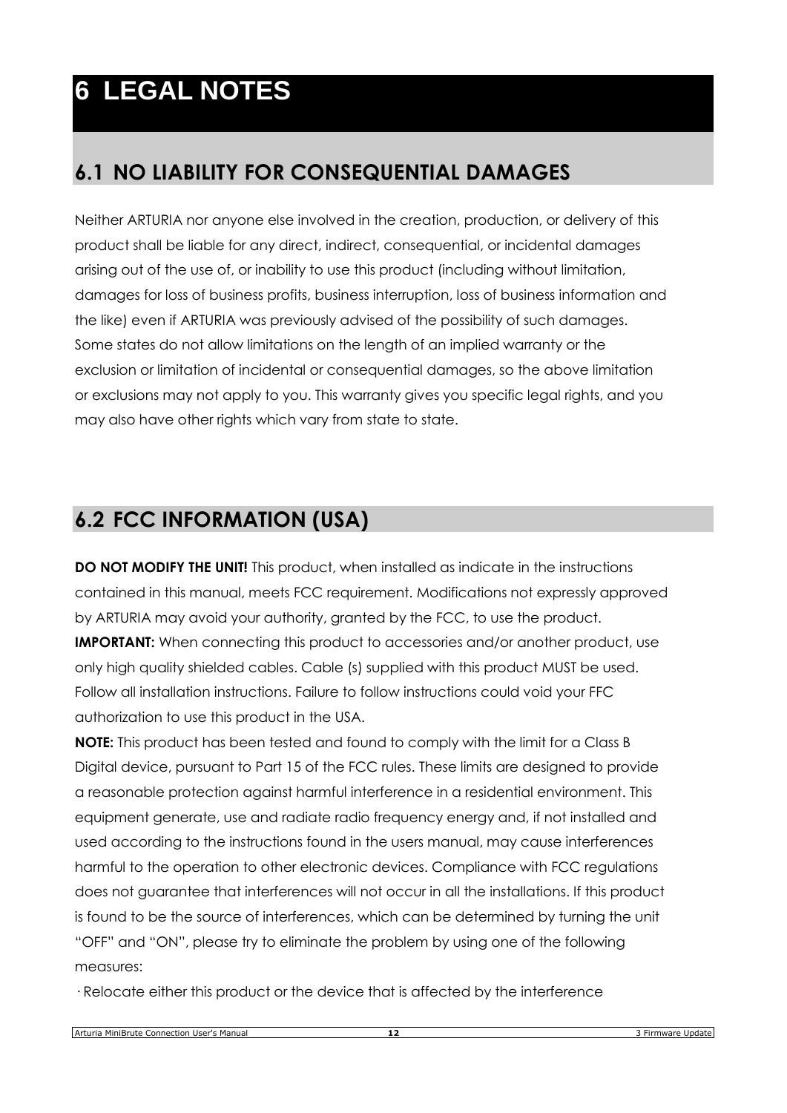# **6 LEGAL NOTES**

# **6.1 NO LIABILITY FOR CONSEQUENTIAL DAMAGES**

Neither ARTURIA nor anyone else involved in the creation, production, or delivery of this product shall be liable for any direct, indirect, consequential, or incidental damages arising out of the use of, or inability to use this product (including without limitation, damages for loss of business profits, business interruption, loss of business information and the like) even if ARTURIA was previously advised of the possibility of such damages. Some states do not allow limitations on the length of an implied warranty or the exclusion or limitation of incidental or consequential damages, so the above limitation or exclusions may not apply to you. This warranty gives you specific legal rights, and you may also have other rights which vary from state to state.

# **6.2 FCC INFORMATION (USA)**

**DO NOT MODIFY THE UNIT!** This product, when installed as indicate in the instructions contained in this manual, meets FCC requirement. Modifications not expressly approved by ARTURIA may avoid your authority, granted by the FCC, to use the product. **IMPORTANT:** When connecting this product to accessories and/or another product, use only high quality shielded cables. Cable (s) supplied with this product MUST be used. Follow all installation instructions. Failure to follow instructions could void your FFC authorization to use this product in the USA.

**NOTE:** This product has been tested and found to comply with the limit for a Class B Digital device, pursuant to Part 15 of the FCC rules. These limits are designed to provide a reasonable protection against harmful interference in a residential environment. This equipment generate, use and radiate radio frequency energy and, if not installed and used according to the instructions found in the users manual, may cause interferences harmful to the operation to other electronic devices. Compliance with FCC regulations does not guarantee that interferences will not occur in all the installations. If this product is found to be the source of interferences, which can be determined by turning the unit "OFF" and "ON", please try to eliminate the problem by using one of the following measures:

· Relocate either this product or the device that is affected by the interference